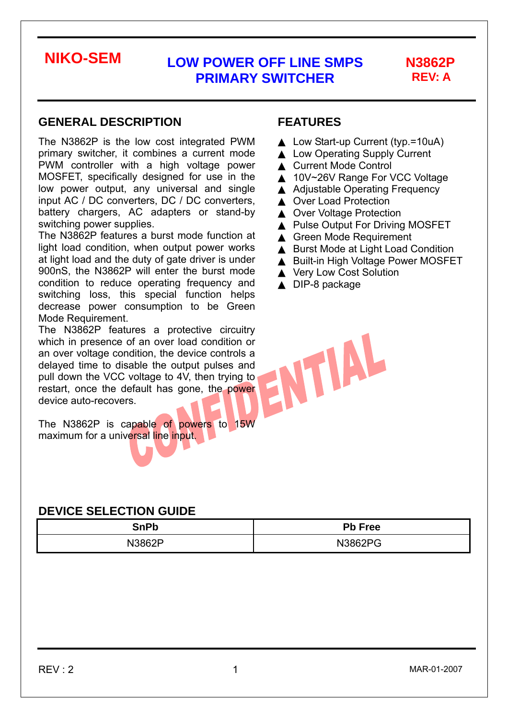# **REV: A**

### **GENERAL DESCRIPTION**

The N3862P is the low cost integrated PWM primary switcher, it combines a current mode PWM controller with a high voltage power MOSFET, specifically designed for use in the low power output, any universal and single input AC / DC converters, DC / DC converters, battery chargers, AC adapters or stand-by switching power supplies.

The N3862P features a burst mode function at light load condition, when output power works at light load and the duty of gate driver is under 900nS, the N3862P will enter the burst mode condition to reduce operating frequency and switching loss, this special function helps decrease power consumption to be Green Mode Requirement.

The N3862P features a protective circuitry which in presence of an over load condition or an over voltage condition, the device controls a delayed time to disable the output pulses and pull down the VCC voltage to 4V, then trying to restart, once the default has gone, the power device auto-recovers.

The N3862P is capable of powers to 15W maximum for a universal line input.

### **DEVICE SELECTION GUIDE**

| 2nDl<br>JII.<br>N | Pb Free |  |  |
|-------------------|---------|--|--|
| 13862P<br>'NL     | N3862PC |  |  |

### **FEATURES**

Low Start-up Current (typ.=10uA) **Low Operating Supply Current Current Mode Control** 10V~26V Range For VCC Voltage **Adjustable Operating Frequency Over Load Protection Over Voltage Protection** Pulse Output For Driving MOSFET **Green Mode Requirement Burst Mode at Light Load Condition Built-in High Voltage Power MOSFET Very Low Cost Solution** DIP-8 package

VUAL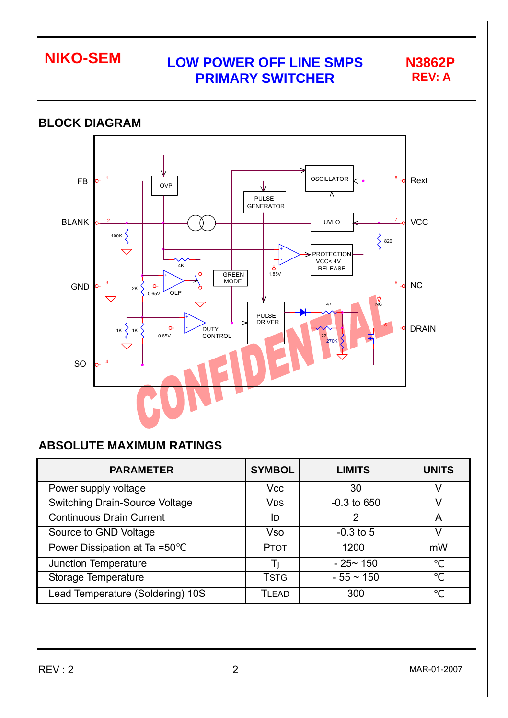

### **BLOCK DIAGRAM**  OSCILLATOR FB  $\frac{1}{\sqrt{1-\frac{1}{\sqrt{1-\frac{1}{\sqrt{1-\frac{1}{\sqrt{1-\frac{1}{\sqrt{1-\frac{1}{\sqrt{1-\frac{1}{\sqrt{1-\frac{1}{\sqrt{1-\frac{1}{\sqrt{1-\frac{1}{\sqrt{1-\frac{1}{\sqrt{1-\frac{1}{\sqrt{1-\frac{1}{\sqrt{1-\frac{1}{\sqrt{1-\frac{1}{\sqrt{1-\frac{1}{\sqrt{1-\frac{1}{\sqrt{1-\frac{1}{\sqrt{1-\frac{1}{\sqrt{1-\frac{1}{\sqrt{1-\frac{1}{\sqrt{1-\frac{1}{\sqrt{1-\frac{1}{\sqrt{1-\frac{1}{\sqrt{1-\frac{1$ 8 OVP PULSE **GENERATOR** BLANK UVLO 7 **VCC** 2 ⋀ 100K 820 ⋟ + PROTECTION VCC< 4V -  $\sqrt{ }$  $4K$ RELEASE GREEN 1.85V<br>MODE + NC GND 3 6  $\Omega$ 2K - OLP 0.65V  $\mathsf{N}_{\mathsf{C}}$ 47 PULSE DRIVER + 5 DRAIN  $1K \left\{ 1K \right\}$  0  $-$ DUTY CONTROL 1K 0.65V 22 270K SO 4

## **ABSOLUTE MAXIMUM RATINGS**

| <b>PARAMETER</b>                      | <b>SYMBOL</b>         | <b>LIMITS</b>  | <b>UNITS</b> |
|---------------------------------------|-----------------------|----------------|--------------|
| Power supply voltage                  | <b>Vcc</b>            | 30             |              |
| <b>Switching Drain-Source Voltage</b> | <b>V<sub>DS</sub></b> | $-0.3$ to 650  |              |
| <b>Continuous Drain Current</b>       | ID                    | 2              | A            |
| Source to GND Voltage                 | <b>Vso</b>            | $-0.3$ to 5    |              |
| Power Dissipation at Ta =50           | <b>PTOT</b>           | 1200           | mW           |
| Junction Temperature                  |                       | $-25 - 150$    |              |
| Storage Temperature                   | <b>TSTG</b>           | $-55 \sim 150$ |              |
| Lead Temperature (Soldering) 10S      | TLEAD                 | 300            |              |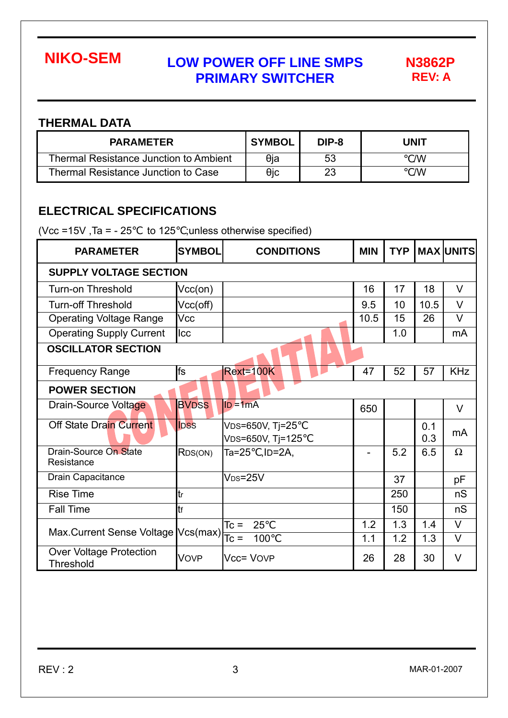**REV: A** 

### **THERMAL DATA**

| <b>PARAMETER</b>                              | <b>SYMBOL</b> | DIP-8 | <b>UNIT</b> |
|-----------------------------------------------|---------------|-------|-------------|
| <b>Thermal Resistance Junction to Ambient</b> | θia           | 53    | /W          |
| Thermal Resistance Junction to Case           | θic           | 23    | /W          |

## **ELECTRICAL SPECIFICATIONS**

(Vcc =15V, Ta =  $-25$  to 125 ;unless otherwise specified)

| <b>PARAMETER</b>                                   | <b>SYMBOL</b> | <b>CONDITIONS</b>                   | <b>MIN</b> | <b>TYP</b> |            | <b>MAX UNITS</b> |  |  |  |
|----------------------------------------------------|---------------|-------------------------------------|------------|------------|------------|------------------|--|--|--|
| <b>SUPPLY VOLTAGE SECTION</b>                      |               |                                     |            |            |            |                  |  |  |  |
| <b>Turn-on Threshold</b>                           | $Vcc($ on $)$ |                                     | 16         | 17         | 18         | $\vee$           |  |  |  |
| <b>Turn-off Threshold</b>                          | Vcc(off)      |                                     | 9.5        | 10         | 10.5       | $\vee$           |  |  |  |
| <b>Operating Voltage Range</b>                     | Vcc           |                                     | 10.5       | 15         | 26         | $\vee$           |  |  |  |
| <b>Operating Supply Current</b>                    | <b>Icc</b>    |                                     |            | 1.0        |            | mA               |  |  |  |
| <b>OSCILLATOR SECTION</b>                          |               |                                     |            |            |            |                  |  |  |  |
| <b>Frequency Range</b>                             | fs            | Rext=100K                           | 47         | 52         | 57         | <b>KHz</b>       |  |  |  |
| <b>POWER SECTION</b>                               |               |                                     |            |            |            |                  |  |  |  |
| Drain-Source Voltage                               | <b>BVDSS</b>  | $ID = 1mA$                          | 650        |            |            | V                |  |  |  |
| <b>Off State Drain Current</b>                     | <b>IDSS</b>   | VDS=650V, Tj=25<br>VDS=650V, Tj=125 |            |            | 0.1<br>0.3 | mA               |  |  |  |
| Drain-Source On State<br>Resistance                | RDS(ON)       | Ta=25, ID=2A,                       |            | 5.2        | 6.5        | $\Omega$         |  |  |  |
| Drain Capacitance                                  |               | $V_{DS}=25V$                        |            | 37         |            | pF               |  |  |  |
| <b>Rise Time</b>                                   | tr            |                                     |            | 250        |            | nS               |  |  |  |
| <b>Fall Time</b>                                   | tr            |                                     |            | 150        |            | nS               |  |  |  |
|                                                    |               | $T_c =$<br>25                       | 1.2        | 1.3        | 1.4        | $\vee$           |  |  |  |
| Max.Current Sense Voltage $Vcs(max)$               |               | 100                                 | 1.1        | 1.2        | 1.3        | $\vee$           |  |  |  |
| <b>Over Voltage Protection</b><br><b>Threshold</b> | <b>VOVP</b>   | <b>Vcc= VOVP</b>                    | 26         | 28         | 30         | V                |  |  |  |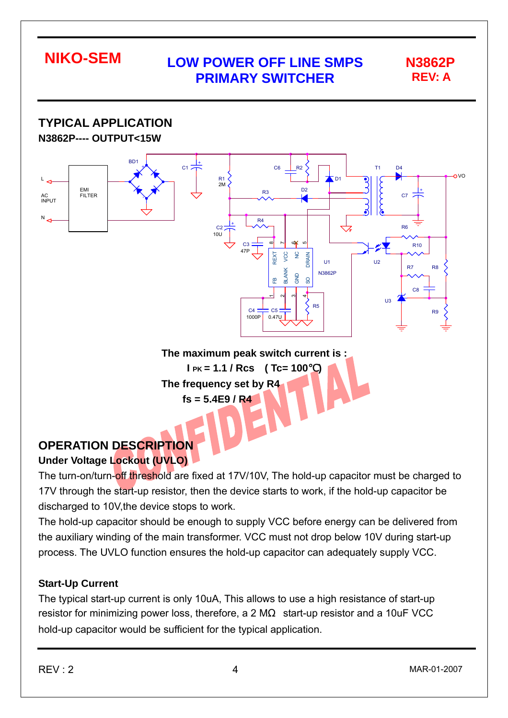**TYPICAL APPLICATION N3862P---- OUTPUT<15W**  BD1 + - + C1 C6 R2 T1 D4  $\Omega$  $R1$ <br> $2M$  $L_{\mathcal{A}}$  and  $L_{\mathcal{A}}$  and  $L_{\mathcal{A}}$  and  $L_{\mathcal{A}}$  and  $L_{\mathcal{A}}$  and  $R1$ D1 D2 EMI + R3 **FILTER**  $C<sub>7</sub>$ AC INPUT N R4  $C<sub>2</sub>$ R6  $1011$  $C3 \Longrightarrow ^\circ \Box \Box \Box \Box$  R10 ന  $\overline{\phantom{0}}$  $\frac{6}{3}$ ເດ 47P  $\frac{0}{2}$ REXT VCC GND NC DRAIN U1  $\overline{112}$ <sub>D7</sub> **D**<sub>R</sub> BLANK N3862P GND SO  $\mathbf{f}$ C8  $\overline{\phantom{0}}$ ่ ო 4  $\overline{113}$ R<sub>5</sub>  $CA$  $C<sub>5</sub>$ **R** 1000P 0.47U

> **The maximum peak switch current is : I PK = 1.1 / Rcs ( Tc= 100**℃**) The frequency set by R4**

**fs = 5.4E9 / R4** 

### **OPERATION DESCRIPTION Under Voltage Lockout (UVLO)**

The turn-on/turn-off threshold are fixed at 17V/10V, The hold-up capacitor must be charged to 17V through the start-up resistor, then the device starts to work, if the hold-up capacitor be discharged to 10V,the device stops to work.

The hold-up capacitor should be enough to supply VCC before energy can be delivered from the auxiliary winding of the main transformer. VCC must not drop below 10V during start-up process. The UVLO function ensures the hold-up capacitor can adequately supply VCC.

### **Start-Up Current**

The typical start-up current is only 10uA, This allows to use a high resistance of start-up resistor for minimizing power loss, therefore, a 2 M start-up resistor and a 10uF VCC hold-up capacitor would be sufficient for the typical application.

**REV: A**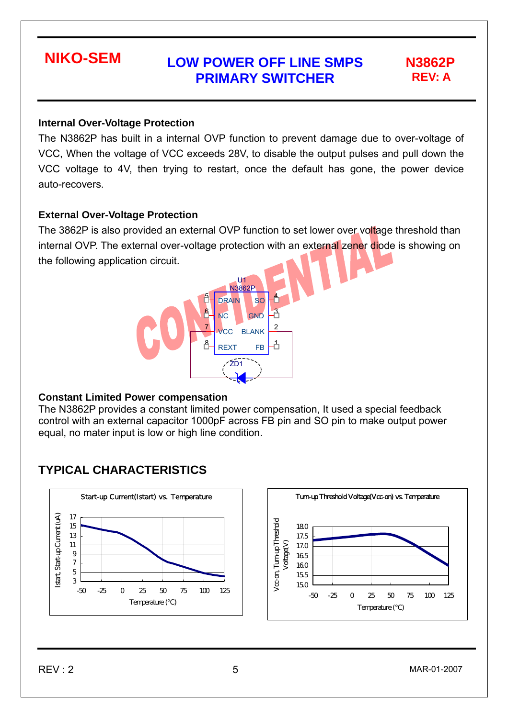# **REV: A**

### **Internal Over-Voltage Protection**

The N3862P has built in a internal OVP function to prevent damage due to over-voltage of VCC, When the voltage of VCC exceeds 28V, to disable the output pulses and pull down the VCC voltage to 4V, then trying to restart, once the default has gone, the power device auto-recovers.

### **External Over-Voltage Protection**

The 3862P is also provided an external OVP function to set lower over voltage threshold than internal OVP. The external over-voltage protection with an external zener diode is showing on the following application circuit.



### **Constant Limited Power compensation**

The N3862P provides a constant limited power compensation, It used a special feedback control with an external capacitor 1000pF across FB pin and SO pin to make output power equal, no mater input is low or high line condition.

## **TYPICAL CHARACTERISTICS**

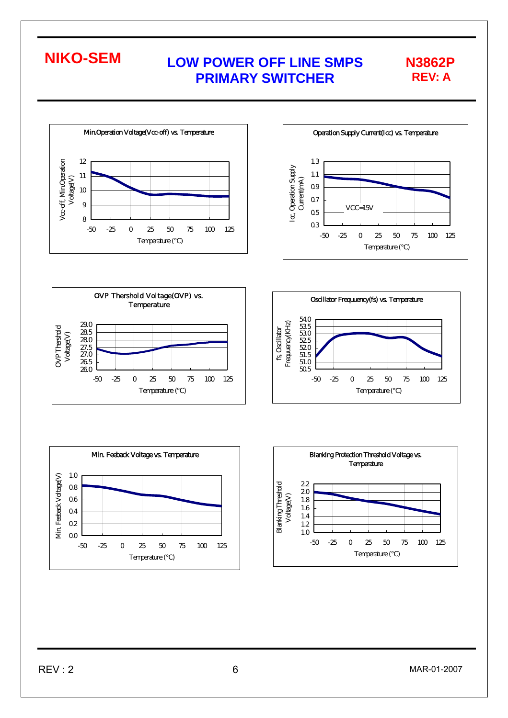



**REV: A** 







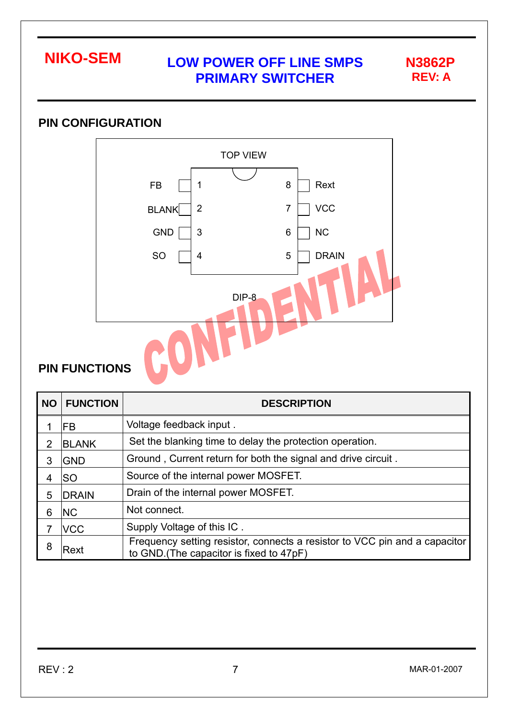

## **PIN CONFIGURATION**



## **PIN FUNCTIONS**

| <b>NO</b> | <b>FUNCTION</b> | <b>DESCRIPTION</b>                                                                                                     |
|-----------|-----------------|------------------------------------------------------------------------------------------------------------------------|
|           | <b>FB</b>       | Voltage feedback input.                                                                                                |
| 2         | <b>BLANK</b>    | Set the blanking time to delay the protection operation.                                                               |
| 3         | <b>GND</b>      | Ground, Current return for both the signal and drive circuit.                                                          |
| 4         | lSO             | Source of the internal power MOSFET.                                                                                   |
| 5         | <b>DRAIN</b>    | Drain of the internal power MOSFET.                                                                                    |
| 6         | <b>NC</b>       | Not connect.                                                                                                           |
|           | <b>NCC</b>      | Supply Voltage of this IC.                                                                                             |
| 8         | Rext            | Frequency setting resistor, connects a resistor to VCC pin and a capacitor<br>to GND. (The capacitor is fixed to 47pF) |